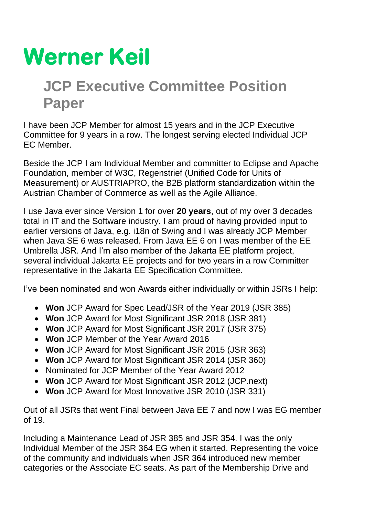## **Werner Keil**

## **JCP Executive Committee Position Paper**

I have been JCP Member for almost 15 years and in the JCP Executive Committee for 9 years in a row. The longest serving elected Individual JCP EC Member.

Beside the JCP I am Individual Member and committer to Eclipse and Apache Foundation, member of W3C, Regenstrief (Unified Code for Units of Measurement) or AUSTRIAPRO, the B2B platform standardization within the Austrian Chamber of Commerce as well as the Agile Alliance.

I use Java ever since Version 1 for over **20 years**, out of my over 3 decades total in IT and the Software industry. I am proud of having provided input to earlier versions of Java, e.g. i18n of Swing and I was already JCP Member when Java SE 6 was released. From Java EE 6 on I was member of the EE Umbrella JSR. And I'm also member of the Jakarta EE platform project, several individual Jakarta EE projects and for two years in a row Committer representative in the Jakarta EE Specification Committee.

I've been nominated and won Awards either individually or within JSRs I help:

- **Won** JCP Award for Spec Lead/JSR of the Year 2019 (JSR 385)
- **Won** JCP Award for Most Significant JSR 2018 (JSR 381)
- **Won** JCP Award for Most Significant JSR 2017 (JSR 375)
- **Won** JCP Member of the Year Award 2016
- **Won** JCP Award for Most Significant JSR 2015 (JSR 363)
- **Won** JCP Award for Most Significant JSR 2014 (JSR 360)
- Nominated for JCP Member of the Year Award 2012
- **Won** JCP Award for Most Significant JSR 2012 (JCP.next)
- **Won** JCP Award for Most Innovative JSR 2010 (JSR 331)

Out of all JSRs that went Final between Java EE 7 and now I was EG member of 19.

Including a Maintenance Lead of JSR 385 and JSR 354. I was the only Individual Member of the JSR 364 EG when it started. Representing the voice of the community and individuals when JSR 364 introduced new member categories or the Associate EC seats. As part of the Membership Drive and